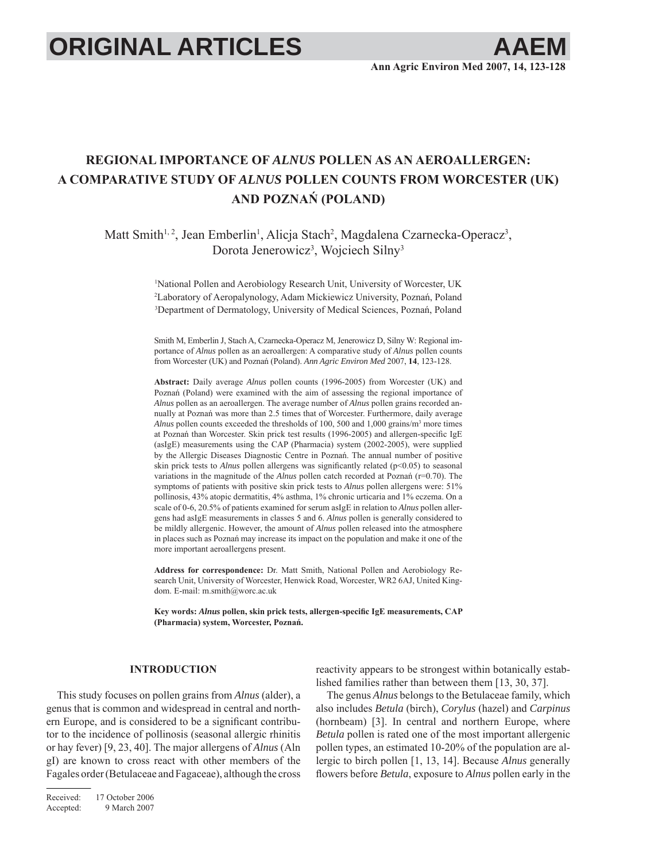# **ORIGINAL ARTICLES**

# **REGIONAL IMPORTANCE OF** *ALNUS* **POLLEN AS AN AEROALLERGEN: A COMPARATIVE STUDY OF** *ALNUS* **POLLEN COUNTS FROM WORCESTER (UK) AND POZNAŃ (POLAND)**

Matt Smith<sup>1,2</sup>, Jean Emberlin<sup>1</sup>, Alicja Stach<sup>2</sup>, Magdalena Czarnecka-Operacz<sup>3</sup>, Dorota Jenerowicz<sup>3</sup>, Wojciech Silny<sup>3</sup>

> 1 National Pollen and Aerobiology Research Unit, University of Worcester, UK 2 Laboratory of Aeropalynology, Adam Mickiewicz University, Poznań, Poland 3 Department of Dermatology, University of Medical Sciences, Poznań, Poland

> Smith M, Emberlin J, Stach A, Czarnecka-Operacz M, Jenerowicz D, Silny W: Regional importance of *Alnus* pollen as an aeroallergen: A comparative study of *Alnus* pollen counts from Worcester (UK) and Poznań (Poland). *Ann Agric Environ Med* 2007, **14**, 123-128.

> **Abstract:** Daily average *Alnus* pollen counts (1996-2005) from Worcester (UK) and Poznań (Poland) were examined with the aim of assessing the regional importance of *Alnus* pollen as an aeroallergen. The average number of *Alnus* pollen grains recorded annually at Poznań was more than 2.5 times that of Worcester. Furthermore, daily average *Alnus* pollen counts exceeded the thresholds of 100, 500 and 1,000 grains/m3 more times at Poznań than Worcester. Skin prick test results  $(1996-2005)$  and allergen-specific IgE (asIgE) measurements using the CAP (Pharmacia) system (2002-2005), were supplied by the Allergic Diseases Diagnostic Centre in Poznań. The annual number of positive skin prick tests to *Alnus* pollen allergens was significantly related (p<0.05) to seasonal variations in the magnitude of the *Alnus* pollen catch recorded at Poznań (r=0.70). The symptoms of patients with positive skin prick tests to *Alnus* pollen allergens were: 51% pollinosis, 43% atopic dermatitis, 4% asthma, 1% chronic urticaria and 1% eczema. On a scale of 0-6, 20.5% of patients examined for serum asIgE in relation to *Alnus* pollen allergens had asIgE measurements in classes 5 and 6. *Alnus* pollen is generally considered to be mildly allergenic. However, the amount of *Alnus* pollen released into the atmosphere in places such as Poznań may increase its impact on the population and make it one of the more important aeroallergens present.

> **Address for correspondence:** Dr. Matt Smith, National Pollen and Aerobiology Research Unit, University of Worcester, Henwick Road, Worcester, WR2 6AJ, United Kingdom. E-mail: m.smith@worc.ac.uk

> Key words: *Alnus* pollen, skin prick tests, allergen-specific IgE measurements, CAP **(Pharmacia) system, Worcester, Poznań.**

# **INTRODUCTION**

This study focuses on pollen grains from *Alnus* (alder), a genus that is common and widespread in central and northern Europe, and is considered to be a significant contributor to the incidence of pollinosis (seasonal allergic rhinitis or hay fever) [9, 23, 40]. The major allergens of *Alnus* (Aln gI) are known to cross react with other members of the Fagales order (Betulaceae and Fagaceae), although the cross reactivity appears to be strongest within botanically established families rather than between them [13, 30, 37].

The genus *Alnus* belongs to the Betulaceae family, which also includes *Betula* (birch), *Corylus* (hazel) and *Carpinus* (hornbeam) [3]. In central and northern Europe, where *Betula* pollen is rated one of the most important allergenic pollen types, an estimated 10-20% of the population are allergic to birch pollen [1, 13, 14]. Because *Alnus* generally flowers before *Betula*, exposure to *Alnus* pollen early in the

Received: 17 October 2006 Accepted: 9 March 2007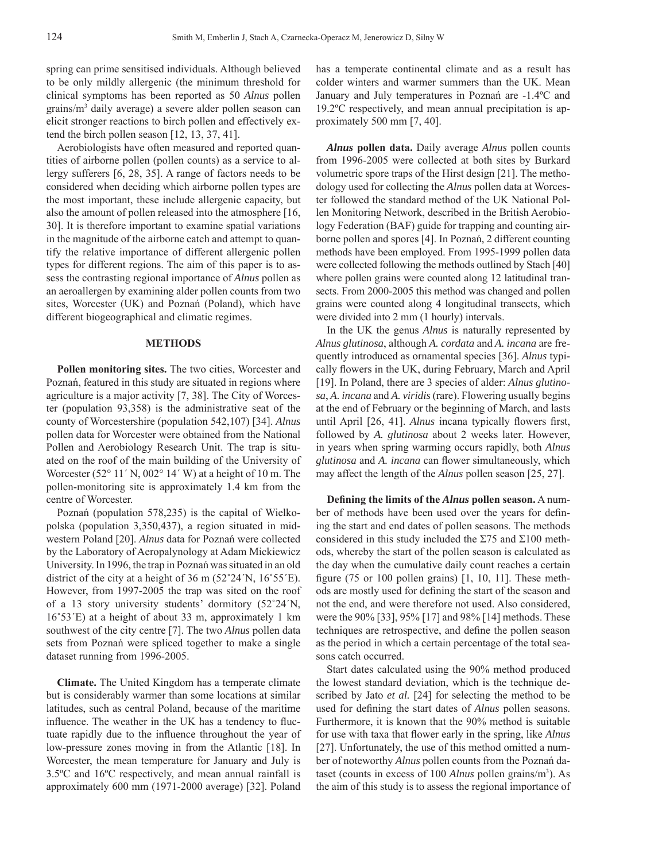spring can prime sensitised individuals. Although believed to be only mildly allergenic (the minimum threshold for clinical symptoms has been reported as 50 *Alnus* pollen grains/m3 daily average) a severe alder pollen season can elicit stronger reactions to birch pollen and effectively extend the birch pollen season [12, 13, 37, 41].

Aerobiologists have often measured and reported quantities of airborne pollen (pollen counts) as a service to allergy sufferers [6, 28, 35]. A range of factors needs to be considered when deciding which airborne pollen types are the most important, these include allergenic capacity, but also the amount of pollen released into the atmosphere [16, 30]. It is therefore important to examine spatial variations in the magnitude of the airborne catch and attempt to quantify the relative importance of different allergenic pollen types for different regions. The aim of this paper is to assess the contrasting regional importance of *Alnus* pollen as an aeroallergen by examining alder pollen counts from two sites, Worcester (UK) and Poznań (Poland), which have different biogeographical and climatic regimes.

## **METHODS**

**Pollen monitoring sites.** The two cities, Worcester and Poznań, featured in this study are situated in regions where agriculture is a major activity [7, 38]. The City of Worcester (population 93,358) is the administrative seat of the county of Worcestershire (population 542,107) [34]. *Alnus* pollen data for Worcester were obtained from the National Pollen and Aerobiology Research Unit. The trap is situated on the roof of the main building of the University of Worcester (52 $\degree$  11' N, 002 $\degree$  14' W) at a height of 10 m. The pollen-monitoring site is approximately 1.4 km from the centre of Worcester.

Poznań (population 578,235) is the capital of Wielkopolska (population 3,350,437), a region situated in midwestern Poland [20]. *Alnus* data for Poznań were collected by the Laboratory of Aeropalynology at Adam Mickiewicz University. In 1996, the trap in Poznań was situated in an old district of the city at a height of 36 m (52˚24΄N, 16˚55΄E). However, from 1997-2005 the trap was sited on the roof of a 13 story university students' dormitory (52˚24΄N, 16˚53΄E) at a height of about 33 m, approximately 1 km southwest of the city centre [7]. The two *Alnus* pollen data sets from Poznań were spliced together to make a single dataset running from 1996-2005.

**Climate.** The United Kingdom has a temperate climate but is considerably warmer than some locations at similar latitudes, such as central Poland, because of the maritime influence. The weather in the UK has a tendency to fluctuate rapidly due to the influence throughout the year of low-pressure zones moving in from the Atlantic [18]. In Worcester, the mean temperature for January and July is 3.5ºC and 16ºC respectively, and mean annual rainfall is approximately 600 mm (1971-2000 average) [32]. Poland

has a temperate continental climate and as a result has colder winters and warmer summers than the UK. Mean January and July temperatures in Poznań are -1.4ºC and 19.2ºC respectively, and mean annual precipitation is approximately 500 mm [7, 40].

*Alnus* **pollen data.** Daily average *Alnus* pollen counts from 1996-2005 were collected at both sites by Burkard volumetric spore traps of the Hirst design [21]. The methodology used for collecting the *Alnus* pollen data at Worcester followed the standard method of the UK National Pollen Monitoring Network, described in the British Aerobiology Federation (BAF) guide for trapping and counting airborne pollen and spores [4]. In Poznań, 2 different counting methods have been employed. From 1995-1999 pollen data were collected following the methods outlined by Stach [40] where pollen grains were counted along 12 latitudinal transects. From 2000-2005 this method was changed and pollen grains were counted along 4 longitudinal transects, which were divided into 2 mm (1 hourly) intervals.

In the UK the genus *Alnus* is naturally represented by *Alnus glutinosa*, although *A. cordata* and *A. incana* are frequently introduced as ornamental species [36]. *Alnus* typically flowers in the UK, during February, March and April [19]. In Poland, there are 3 species of alder: *Alnus glutinosa*, *A. incana* and *A. viridis* (rare). Flowering usually begins at the end of February or the beginning of March, and lasts until April [26, 41]. *Alnus* incana typically flowers first, followed by *A. glutinosa* about 2 weeks later. However, in years when spring warming occurs rapidly, both *Alnus glutinosa* and *A. incana* can flower simultaneously, which may affect the length of the *Alnus* pollen season [25, 27].

**Defining the limits of the** *Alnus* **pollen season.** A number of methods have been used over the years for defining the start and end dates of pollen seasons. The methods considered in this study included the  $\Sigma$ 75 and  $\Sigma$ 100 methods, whereby the start of the pollen season is calculated as the day when the cumulative daily count reaches a certain figure (75 or 100 pollen grains)  $[1, 10, 11]$ . These methods are mostly used for defining the start of the season and not the end, and were therefore not used. Also considered, were the 90% [33], 95% [17] and 98% [14] methods. These techniques are retrospective, and define the pollen season as the period in which a certain percentage of the total seasons catch occurred.

Start dates calculated using the 90% method produced the lowest standard deviation, which is the technique described by Jato *et al.* [24] for selecting the method to be used for defining the start dates of *Alnus* pollen seasons. Furthermore, it is known that the 90% method is suitable for use with taxa that flower early in the spring, like *Alnus* [27]. Unfortunately, the use of this method omitted a number of noteworthy *Alnus* pollen counts from the Poznań dataset (counts in excess of 100 *Alnus* pollen grains/m<sup>3</sup>). As the aim of this study is to assess the regional importance of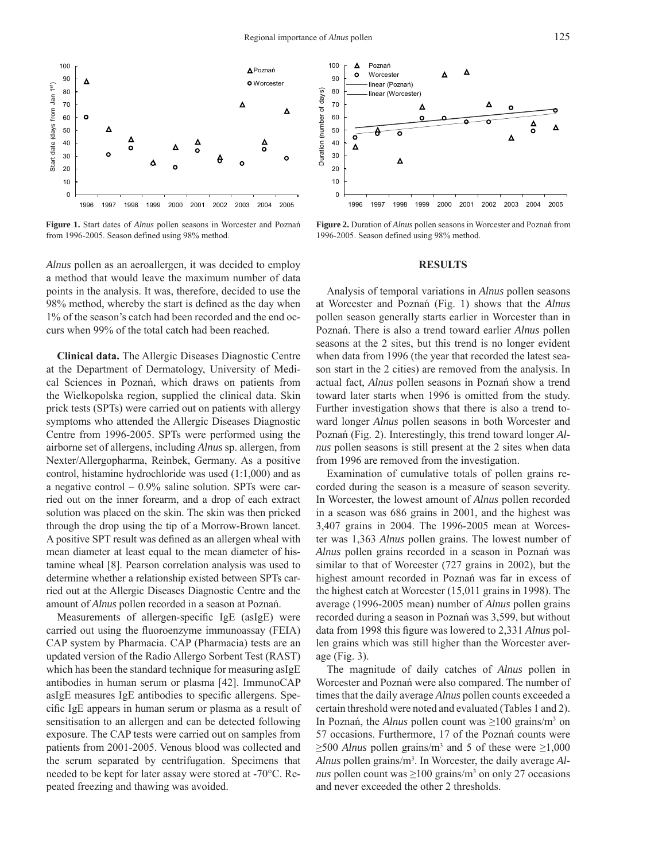

**Figure 1.** Start dates of *Alnus* pollen seasons in Worcester and Poznań from 1996-2005. Season defined using 98% method.

*Alnus* pollen as an aeroallergen, it was decided to employ a method that would leave the maximum number of data points in the analysis. It was, therefore, decided to use the 98% method, whereby the start is defined as the day when 1% of the season's catch had been recorded and the end occurs when 99% of the total catch had been reached.

**Clinical data.** The Allergic Diseases Diagnostic Centre at the Department of Dermatology, University of Medical Sciences in Poznań, which draws on patients from the Wielkopolska region, supplied the clinical data. Skin prick tests (SPTs) were carried out on patients with allergy symptoms who attended the Allergic Diseases Diagnostic Centre from 1996-2005. SPTs were performed using the airborne set of allergens, including *Alnus* sp. allergen, from Nexter/Allergopharma, Reinbek, Germany. As a positive control, histamine hydrochloride was used (1:1,000) and as a negative control  $-0.9\%$  saline solution. SPTs were carried out on the inner forearm, and a drop of each extract solution was placed on the skin. The skin was then pricked through the drop using the tip of a Morrow-Brown lancet. A positive SPT result was defined as an allergen wheal with mean diameter at least equal to the mean diameter of histamine wheal [8]. Pearson correlation analysis was used to determine whether a relationship existed between SPTs carried out at the Allergic Diseases Diagnostic Centre and the amount of *Alnus* pollen recorded in a season at Poznań.

Measurements of allergen-specific IgE (asIgE) were carried out using the fluoroenzyme immunoassay (FEIA) CAP system by Pharmacia. CAP (Pharmacia) tests are an updated version of the Radio Allergo Sorbent Test (RAST) which has been the standard technique for measuring asIgE antibodies in human serum or plasma [42]. ImmunoCAP asIgE measures  $IgE$  antibodies to specific allergens. Specific IgE appears in human serum or plasma as a result of sensitisation to an allergen and can be detected following exposure. The CAP tests were carried out on samples from patients from 2001-2005. Venous blood was collected and the serum separated by centrifugation. Specimens that needed to be kept for later assay were stored at -70°C. Repeated freezing and thawing was avoided.



**Figure 2.** Duration of *Alnus* pollen seasons in Worcester and Poznań from 1996-2005. Season defined using 98% method.

#### **RESULTS**

Analysis of temporal variations in *Alnus* pollen seasons at Worcester and Poznań (Fig. 1) shows that the *Alnus* pollen season generally starts earlier in Worcester than in Poznań. There is also a trend toward earlier *Alnus* pollen seasons at the 2 sites, but this trend is no longer evident when data from 1996 (the year that recorded the latest season start in the 2 cities) are removed from the analysis. In actual fact, *Alnus* pollen seasons in Poznań show a trend toward later starts when 1996 is omitted from the study. Further investigation shows that there is also a trend toward longer *Alnus* pollen seasons in both Worcester and Poznań (Fig. 2). Interestingly, this trend toward longer *Alnus* pollen seasons is still present at the 2 sites when data from 1996 are removed from the investigation.

Examination of cumulative totals of pollen grains recorded during the season is a measure of season severity. In Worcester, the lowest amount of *Alnus* pollen recorded in a season was 686 grains in 2001, and the highest was 3,407 grains in 2004. The 1996-2005 mean at Worcester was 1,363 *Alnus* pollen grains. The lowest number of *Alnus* pollen grains recorded in a season in Poznań was similar to that of Worcester (727 grains in 2002), but the highest amount recorded in Poznań was far in excess of the highest catch at Worcester (15,011 grains in 1998). The average (1996-2005 mean) number of *Alnus* pollen grains recorded during a season in Poznań was 3,599, but without data from 1998 this figure was lowered to 2,331 *Alnus* pollen grains which was still higher than the Worcester average (Fig. 3).

The magnitude of daily catches of *Alnus* pollen in Worcester and Poznań were also compared. The number of times that the daily average *Alnus* pollen counts exceeded a certain threshold were noted and evaluated (Tables 1 and 2). In Poznań, the *Alnus* pollen count was  $\geq 100$  grains/m<sup>3</sup> on 57 occasions. Furthermore, 17 of the Poznań counts were  $\geq$ 500 *Alnus* pollen grains/m<sup>3</sup> and 5 of these were  $\geq$ 1,000 Alnus pollen grains/m<sup>3</sup>. In Worcester, the daily average *Alnus* pollen count was  $\geq 100$  grains/m<sup>3</sup> on only 27 occasions and never exceeded the other 2 thresholds.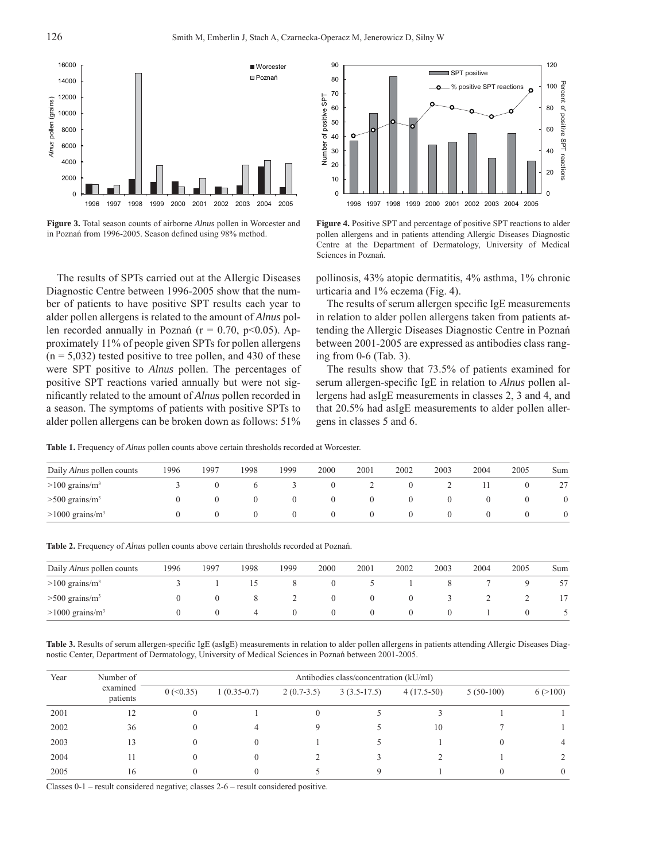

**Figure 3.** Total season counts of airborne *Alnus* pollen in Worcester and in Poznań from 1996-2005. Season defined using 98% method.

The results of SPTs carried out at the Allergic Diseases Diagnostic Centre between 1996-2005 show that the number of patients to have positive SPT results each year to alder pollen allergens is related to the amount of *Alnus* pollen recorded annually in Poznań ( $r = 0.70$ ,  $p \le 0.05$ ). Approximately 11% of people given SPTs for pollen allergens  $(n = 5,032)$  tested positive to tree pollen, and 430 of these were SPT positive to *Alnus* pollen. The percentages of positive SPT reactions varied annually but were not significantly related to the amount of *Alnus* pollen recorded in a season. The symptoms of patients with positive SPTs to alder pollen allergens can be broken down as follows: 51%



**Figure 4.** Positive SPT and percentage of positive SPT reactions to alder pollen allergens and in patients attending Allergic Diseases Diagnostic Centre at the Department of Dermatology, University of Medical Sciences in Poznań.

pollinosis, 43% atopic dermatitis, 4% asthma, 1% chronic urticaria and 1% eczema (Fig. 4).

The results of serum allergen specific IgE measurements in relation to alder pollen allergens taken from patients attending the Allergic Diseases Diagnostic Centre in Poznań between 2001-2005 are expressed as antibodies class ranging from 0-6 (Tab. 3).

The results show that 73.5% of patients examined for serum allergen-specific IgE in relation to *Alnus* pollen allergens had asIgE measurements in classes 2, 3 and 4, and that 20.5% had asIgE measurements to alder pollen allergens in classes 5 and 6.

**Table 1.** Frequency of *Alnus* pollen counts above certain thresholds recorded at Worcester.

| Daily <i>Alnus</i> pollen counts | 1996 | 1997 | 1998 | 1999         | 2000 | 2001 | 2002 | 2003 | 2004 | 2005 | Sum |
|----------------------------------|------|------|------|--------------|------|------|------|------|------|------|-----|
| $>100$ grains/m <sup>3</sup>     |      |      |      |              |      |      |      |      |      |      | 27  |
| $>500$ grains/m <sup>3</sup>     |      |      |      |              |      |      |      |      |      |      |     |
| $>1000$ grains/m <sup>3</sup>    |      |      |      | $\mathbf{U}$ |      |      |      |      |      |      |     |

**Table 2.** Frequency of *Alnus* pollen counts above certain thresholds recorded at Poznań.

| Daily <i>Alnus</i> pollen counts | 1996 | 1997 | 1998 | 1999 | 2000         | 2001     | 2002     | 2003 | 2004 | 2005 | Sum |
|----------------------------------|------|------|------|------|--------------|----------|----------|------|------|------|-----|
| $>100$ grains/m <sup>3</sup>     |      |      |      |      | U            |          |          |      |      |      |     |
| $>500$ grains/m <sup>3</sup>     |      |      |      | ∼    |              | $\theta$ | $\theta$ |      |      |      |     |
| $>1000$ grains/m <sup>3</sup>    |      |      | 4    |      | $\mathbf{U}$ | $\theta$ | $\theta$ |      |      |      |     |

Table 3. Results of serum allergen-specific IgE (asIgE) measurements in relation to alder pollen allergens in patients attending Allergic Diseases Diagnostic Center, Department of Dermatology, University of Medical Sciences in Poznań between 2001-2005.

| Year | Number of            | Antibodies class/concentration (kU/ml) |               |              |               |              |             |          |  |  |  |
|------|----------------------|----------------------------------------|---------------|--------------|---------------|--------------|-------------|----------|--|--|--|
|      | examined<br>patients | $0$ (<0.35)                            | $1(0.35-0.7)$ | $2(0.7-3.5)$ | $3(3.5-17.5)$ | $4(17.5-50)$ | $5(50-100)$ | 6 (>100) |  |  |  |
| 2001 | 12                   |                                        |               | $\Omega$     |               |              |             |          |  |  |  |
| 2002 | 36                   |                                        |               |              |               | 10           |             |          |  |  |  |
| 2003 | 13                   |                                        |               |              |               |              |             | 4        |  |  |  |
| 2004 | н                    |                                        |               |              |               |              |             |          |  |  |  |
| 2005 | 16                   |                                        |               |              |               |              |             | $\theta$ |  |  |  |

Classes 0-1 – result considered negative; classes 2-6 – result considered positive.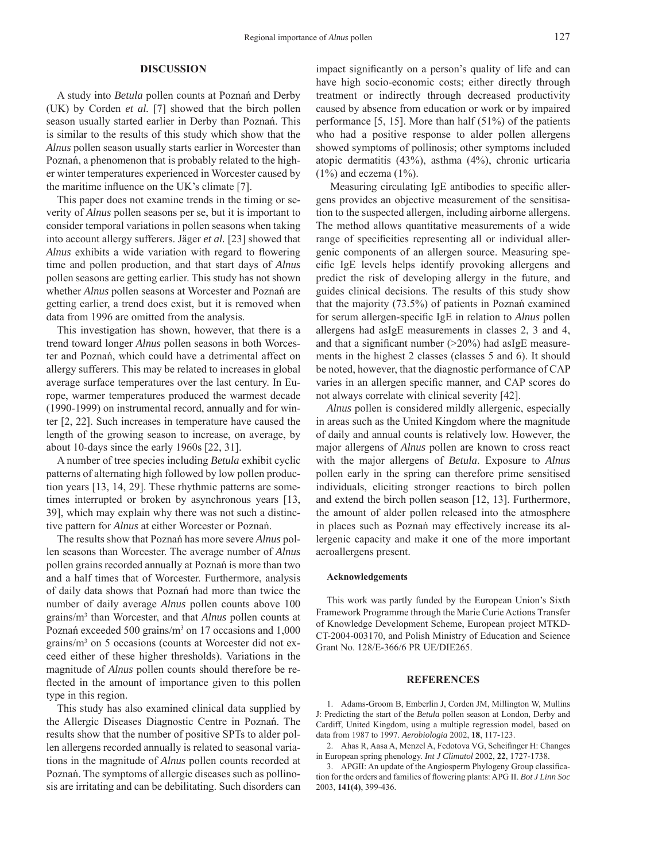### **DISCUSSION**

A study into *Betula* pollen counts at Poznań and Derby (UK) by Corden *et al.* [7] showed that the birch pollen season usually started earlier in Derby than Poznań. This is similar to the results of this study which show that the *Alnus* pollen season usually starts earlier in Worcester than Poznań, a phenomenon that is probably related to the higher winter temperatures experienced in Worcester caused by the maritime influence on the UK's climate  $[7]$ .

This paper does not examine trends in the timing or severity of *Alnus* pollen seasons per se, but it is important to consider temporal variations in pollen seasons when taking into account allergy sufferers. Jäger *et al.* [23] showed that *Alnus* exhibits a wide variation with regard to flowering time and pollen production, and that start days of *Alnus* pollen seasons are getting earlier. This study has not shown whether *Alnus* pollen seasons at Worcester and Poznań are getting earlier, a trend does exist, but it is removed when data from 1996 are omitted from the analysis.

This investigation has shown, however, that there is a trend toward longer *Alnus* pollen seasons in both Worcester and Poznań, which could have a detrimental affect on allergy sufferers. This may be related to increases in global average surface temperatures over the last century. In Europe, warmer temperatures produced the warmest decade (1990-1999) on instrumental record, annually and for winter [2, 22]. Such increases in temperature have caused the length of the growing season to increase, on average, by about 10-days since the early 1960s [22, 31].

A number of tree species including *Betula* exhibit cyclic patterns of alternating high followed by low pollen production years [13, 14, 29]. These rhythmic patterns are sometimes interrupted or broken by asynchronous years [13, 39], which may explain why there was not such a distinctive pattern for *Alnus* at either Worcester or Poznań.

The results show that Poznań has more severe *Alnus* pollen seasons than Worcester. The average number of *Alnus* pollen grains recorded annually at Poznań is more than two and a half times that of Worcester. Furthermore, analysis of daily data shows that Poznań had more than twice the number of daily average *Alnus* pollen counts above 100 grains/m3 than Worcester, and that *Alnus* pollen counts at Poznań exceeded 500 grains/m<sup>3</sup> on 17 occasions and 1,000 grains/m<sup>3</sup> on 5 occasions (counts at Worcester did not exceed either of these higher thresholds). Variations in the magnitude of *Alnus* pollen counts should therefore be reflected in the amount of importance given to this pollen type in this region.

This study has also examined clinical data supplied by the Allergic Diseases Diagnostic Centre in Poznań. The results show that the number of positive SPTs to alder pollen allergens recorded annually is related to seasonal variations in the magnitude of *Alnus* pollen counts recorded at Poznań. The symptoms of allergic diseases such as pollinosis are irritating and can be debilitating. Such disorders can impact significantly on a person's quality of life and can have high socio-economic costs; either directly through treatment or indirectly through decreased productivity caused by absence from education or work or by impaired performance [5, 15]. More than half (51%) of the patients who had a positive response to alder pollen allergens showed symptoms of pollinosis; other symptoms included atopic dermatitis (43%), asthma (4%), chronic urticaria  $(1\%)$  and eczema  $(1\%)$ .

Measuring circulating IgE antibodies to specific allergens provides an objective measurement of the sensitisation to the suspected allergen, including airborne allergens. The method allows quantitative measurements of a wide range of specificities representing all or individual allergenic components of an allergen source. Measuring specific IgE levels helps identify provoking allergens and predict the risk of developing allergy in the future, and guides clinical decisions. The results of this study show that the majority (73.5%) of patients in Poznań examined for serum allergen-specific IgE in relation to *Alnus* pollen allergens had asIgE measurements in classes 2, 3 and 4, and that a significant number  $(>20\%)$  had asIgE measurements in the highest 2 classes (classes 5 and 6). It should be noted, however, that the diagnostic performance of CAP varies in an allergen specific manner, and CAP scores do not always correlate with clinical severity [42].

*Alnus* pollen is considered mildly allergenic, especially in areas such as the United Kingdom where the magnitude of daily and annual counts is relatively low. However, the major allergens of *Alnus* pollen are known to cross react with the major allergens of *Betula*. Exposure to *Alnus* pollen early in the spring can therefore prime sensitised individuals, eliciting stronger reactions to birch pollen and extend the birch pollen season [12, 13]. Furthermore, the amount of alder pollen released into the atmosphere in places such as Poznań may effectively increase its allergenic capacity and make it one of the more important aeroallergens present.

#### **Acknowledgements**

This work was partly funded by the European Union's Sixth Framework Programme through the Marie Curie Actions Transfer of Knowledge Development Scheme, European project MTKD-CT-2004-003170, and Polish Ministry of Education and Science Grant No. 128/E-366/6 PR UE/DIE265.

#### **REFERENCES**

1. Adams-Groom B, Emberlin J, Corden JM, Millington W, Mullins J: Predicting the start of the *Betula* pollen season at London, Derby and Cardiff, United Kingdom, using a multiple regression model, based on data from 1987 to 1997. *Aerobiologia* 2002, **18**, 117-123.

2. Ahas R, Aasa A, Menzel A, Fedotova VG, Scheifinger H: Changes in European spring phenology. *Int J Climatol* 2002, **22**, 1727-1738.

3. APGII: An update of the Angiosperm Phylogeny Group classification for the orders and families of flowering plants: APG II. *Bot J Linn Soc* 2003, **141(4)**, 399-436.